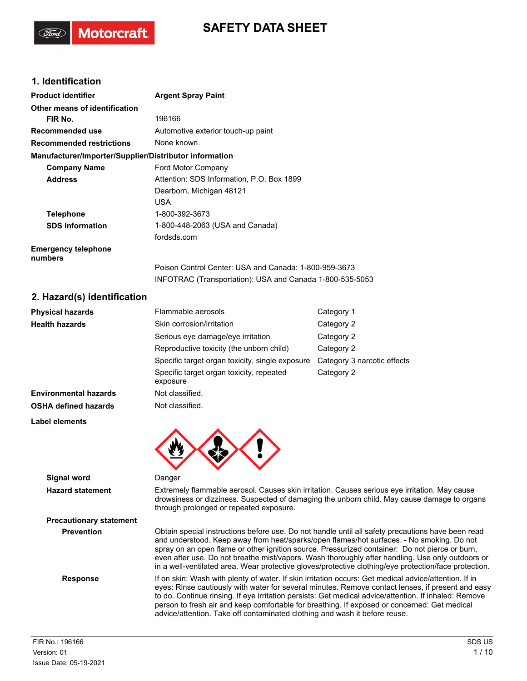# **SAFETY DATA SHEET**

## **1. Identification**

**Motorcraft** 

| <b>Product identifier</b>                              | <b>Argent Spray Paint</b>                                |
|--------------------------------------------------------|----------------------------------------------------------|
| Other means of identification                          |                                                          |
| FIR No.                                                | 196166                                                   |
| Recommended use                                        | Automotive exterior touch-up paint                       |
| <b>Recommended restrictions</b>                        | None known.                                              |
| Manufacturer/Importer/Supplier/Distributor information |                                                          |
| <b>Company Name</b>                                    | Ford Motor Company                                       |
| <b>Address</b>                                         | Attention: SDS Information, P.O. Box 1899                |
|                                                        | Dearborn, Michigan 48121                                 |
|                                                        | <b>USA</b>                                               |
| <b>Telephone</b>                                       | 1-800-392-3673                                           |
| <b>SDS Information</b>                                 | 1-800-448-2063 (USA and Canada)                          |
|                                                        | fordsds.com                                              |
| <b>Emergency telephone</b><br>numbers                  |                                                          |
|                                                        | Poison Control Center: USA and Canada: 1-800-959-3673    |
|                                                        | INFOTRAC (Transportation): USA and Canada 1-800-535-5053 |
| 2 Hazardíc) identification                             |                                                          |

### **2. Hazard(s) identification**

| <b>Physical hazards</b>      | Flammable aerosols                                   | Category 1                  |
|------------------------------|------------------------------------------------------|-----------------------------|
| <b>Health hazards</b>        | Skin corrosion/irritation                            | Category 2                  |
|                              | Serious eye damage/eye irritation                    | Category 2                  |
|                              | Reproductive toxicity (the unborn child)             | Category 2                  |
|                              | Specific target organ toxicity, single exposure      | Category 3 narcotic effects |
|                              | Specific target organ toxicity, repeated<br>exposure | Category 2                  |
| <b>Environmental hazards</b> | Not classified.                                      |                             |
| <b>OSHA defined hazards</b>  | Not classified.                                      |                             |
| Label elements               |                                                      |                             |
|                              |                                                      |                             |



**Signal word** Danger

**Precautionary statement**

**Hazard statement** Extremely flammable aerosol. Causes skin irritation. Causes serious eye irritation. May cause drowsiness or dizziness. Suspected of damaging the unborn child. May cause damage to organs through prolonged or repeated exposure.

**Prevention** Obtain special instructions before use. Do not handle until all safety precautions have been read and understood. Keep away from heat/sparks/open flames/hot surfaces. - No smoking. Do not spray on an open flame or other ignition source. Pressurized container: Do not pierce or burn, even after use. Do not breathe mist/vapors. Wash thoroughly after handling. Use only outdoors or in a well-ventilated area. Wear protective gloves/protective clothing/eye protection/face protection.

**Response** If on skin: Wash with plenty of water. If skin irritation occurs: Get medical advice/attention. If in eyes: Rinse cautiously with water for several minutes. Remove contact lenses, if present and easy to do. Continue rinsing. If eye irritation persists: Get medical advice/attention. If inhaled: Remove person to fresh air and keep comfortable for breathing. If exposed or concerned: Get medical advice/attention. Take off contaminated clothing and wash it before reuse.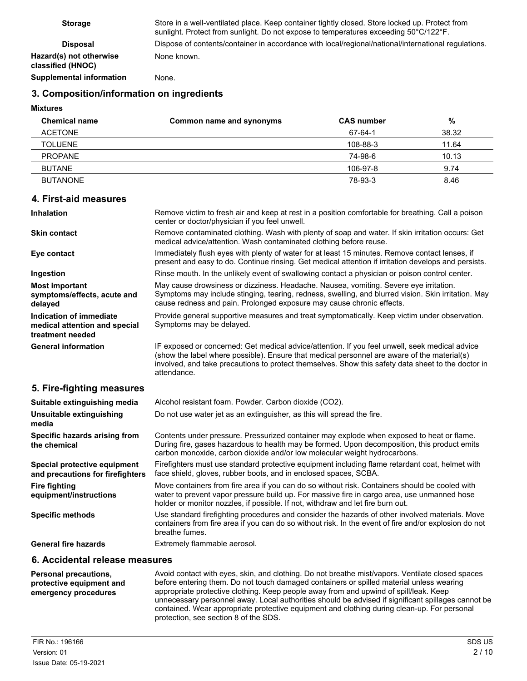**Hazard(s) not otherwise classified (HNOC)**

**Storage** Store in a well-ventilated place. Keep container tightly closed. Store locked up. Protect from sunlight. Protect from sunlight. Do not expose to temperatures exceeding 50°C/122°F. **Disposal** Dispose of contents/container in accordance with local/regional/national/international regulations. None known.

**Supplemental information** None.

## **3. Composition/information on ingredients**

**Mixtures**

| <b>Chemical name</b> | Common name and synonyms | <b>CAS number</b> | %     |
|----------------------|--------------------------|-------------------|-------|
| <b>ACETONE</b>       |                          | 67-64-1           | 38.32 |
| <b>TOLUENE</b>       |                          | 108-88-3          | 11.64 |
| <b>PROPANE</b>       |                          | 74-98-6           | 10.13 |
| <b>BUTANE</b>        |                          | 106-97-8          | 9.74  |
| <b>BUTANONE</b>      |                          | 78-93-3           | 8.46  |

#### **4. First-aid measures**

| <b>Inhalation</b>                                                                   | Remove victim to fresh air and keep at rest in a position comfortable for breathing. Call a poison<br>center or doctor/physician if you feel unwell.                                                                                                                                                               |
|-------------------------------------------------------------------------------------|--------------------------------------------------------------------------------------------------------------------------------------------------------------------------------------------------------------------------------------------------------------------------------------------------------------------|
| Skin contact                                                                        | Remove contaminated clothing. Wash with plenty of soap and water. If skin irritation occurs: Get<br>medical advice/attention. Wash contaminated clothing before reuse.                                                                                                                                             |
| Eye contact                                                                         | Immediately flush eyes with plenty of water for at least 15 minutes. Remove contact lenses, if<br>present and easy to do. Continue rinsing. Get medical attention if irritation develops and persists.                                                                                                             |
| Ingestion                                                                           | Rinse mouth. In the unlikely event of swallowing contact a physician or poison control center.                                                                                                                                                                                                                     |
| <b>Most important</b><br>symptoms/effects, acute and<br>delayed                     | May cause drowsiness or dizziness. Headache. Nausea, vomiting. Severe eye irritation.<br>Symptoms may include stinging, tearing, redness, swelling, and blurred vision. Skin irritation. May<br>cause redness and pain. Prolonged exposure may cause chronic effects.                                              |
| <b>Indication of immediate</b><br>medical attention and special<br>treatment needed | Provide general supportive measures and treat symptomatically. Keep victim under observation.<br>Symptoms may be delayed.                                                                                                                                                                                          |
| <b>General information</b>                                                          | IF exposed or concerned: Get medical advice/attention. If you feel unwell, seek medical advice<br>(show the label where possible). Ensure that medical personnel are aware of the material(s)<br>involved, and take precautions to protect themselves. Show this safety data sheet to the doctor in<br>attendance. |
| 5. Fire-fighting measures                                                           |                                                                                                                                                                                                                                                                                                                    |
| Suitable extinguishing media                                                        | Alcohol resistant foam. Powder. Carbon dioxide (CO2).                                                                                                                                                                                                                                                              |
| Unsuitable extinguishing<br>media                                                   | Do not use water jet as an extinguisher, as this will spread the fire.                                                                                                                                                                                                                                             |
| Specific hazards arising from<br>the chemical                                       | Contents under pressure. Pressurized container may explode when exposed to heat or flame.<br>During fire, gases hazardous to health may be formed. Upon decomposition, this product emits<br>carbon monoxide, carbon dioxide and/or low molecular weight hydrocarbons.                                             |
| Special protective equipment<br>and precautions for firefighters                    | Firefighters must use standard protective equipment including flame retardant coat, helmet with<br>face shield, gloves, rubber boots, and in enclosed spaces, SCBA.                                                                                                                                                |
| <b>Fire fighting</b><br>equipment/instructions                                      | Move containers from fire area if you can do so without risk. Containers should be cooled with<br>water to prevent vapor pressure build up. For massive fire in cargo area, use unmanned hose<br>holder or monitor nozzles, if possible. If not, withdraw and let fire burn out.                                   |
| <b>Specific methods</b>                                                             | Use standard firefighting procedures and consider the hazards of other involved materials. Move<br>containers from fire area if you can do so without risk. In the event of fire and/or explosion do not<br>breathe fumes.                                                                                         |
| <b>General fire hazards</b>                                                         | Extremely flammable aerosol.                                                                                                                                                                                                                                                                                       |
| 6. Accidental release measures                                                      |                                                                                                                                                                                                                                                                                                                    |

#### Avoid contact with eyes, skin, and clothing. Do not breathe mist/vapors. Ventilate closed spaces before entering them. Do not touch damaged containers or spilled material unless wearing appropriate protective clothing. Keep people away from and upwind of spill/leak. Keep unnecessary personnel away. Local authorities should be advised if significant spillages cannot be contained. Wear appropriate protective equipment and clothing during clean-up. For personal protection, see section 8 of the SDS. **Personal precautions, protective equipment and emergency procedures**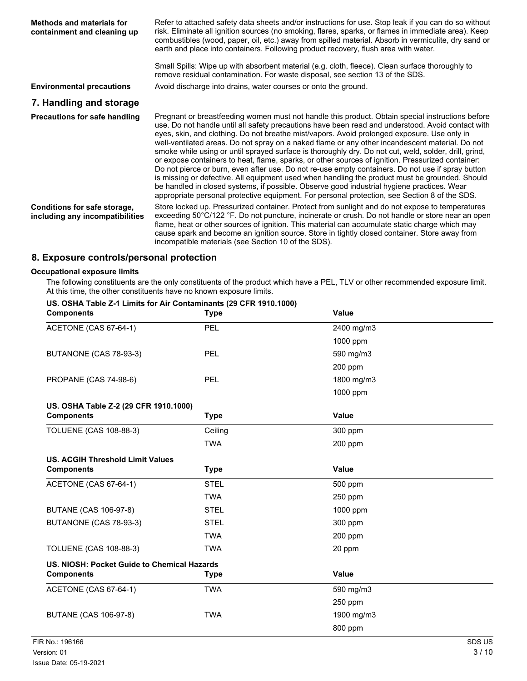| <b>Methods and materials for</b><br>containment and cleaning up | Refer to attached safety data sheets and/or instructions for use. Stop leak if you can do so without<br>risk. Eliminate all ignition sources (no smoking, flares, sparks, or flames in immediate area). Keep<br>combustibles (wood, paper, oil, etc.) away from spilled material. Absorb in vermiculite, dry sand or<br>earth and place into containers. Following product recovery, flush area with water.<br>Small Spills: Wipe up with absorbent material (e.g. cloth, fleece). Clean surface thoroughly to                                                                                                                                                                                                                                                                                                                                                                                                                                                                                                              |
|-----------------------------------------------------------------|-----------------------------------------------------------------------------------------------------------------------------------------------------------------------------------------------------------------------------------------------------------------------------------------------------------------------------------------------------------------------------------------------------------------------------------------------------------------------------------------------------------------------------------------------------------------------------------------------------------------------------------------------------------------------------------------------------------------------------------------------------------------------------------------------------------------------------------------------------------------------------------------------------------------------------------------------------------------------------------------------------------------------------|
|                                                                 | remove residual contamination. For waste disposal, see section 13 of the SDS.                                                                                                                                                                                                                                                                                                                                                                                                                                                                                                                                                                                                                                                                                                                                                                                                                                                                                                                                               |
| <b>Environmental precautions</b>                                | Avoid discharge into drains, water courses or onto the ground.                                                                                                                                                                                                                                                                                                                                                                                                                                                                                                                                                                                                                                                                                                                                                                                                                                                                                                                                                              |
| 7. Handling and storage                                         |                                                                                                                                                                                                                                                                                                                                                                                                                                                                                                                                                                                                                                                                                                                                                                                                                                                                                                                                                                                                                             |
| <b>Precautions for safe handling</b>                            | Pregnant or breastfeeding women must not handle this product. Obtain special instructions before<br>use. Do not handle until all safety precautions have been read and understood. Avoid contact with<br>eyes, skin, and clothing. Do not breathe mist/vapors. Avoid prolonged exposure. Use only in<br>well-ventilated areas. Do not spray on a naked flame or any other incandescent material. Do not<br>smoke while using or until sprayed surface is thoroughly dry. Do not cut, weld, solder, drill, grind,<br>or expose containers to heat, flame, sparks, or other sources of ignition. Pressurized container:<br>Do not pierce or burn, even after use. Do not re-use empty containers. Do not use if spray button<br>is missing or defective. All equipment used when handling the product must be grounded. Should<br>be handled in closed systems, if possible. Observe good industrial hygiene practices. Wear<br>appropriate personal protective equipment. For personal protection, see Section 8 of the SDS. |
| Conditions for safe storage,<br>including any incompatibilities | Store locked up. Pressurized container. Protect from sunlight and do not expose to temperatures<br>exceeding 50°C/122 °F. Do not puncture, incinerate or crush. Do not handle or store near an open<br>flame, heat or other sources of ignition. This material can accumulate static charge which may<br>cause spark and become an ignition source. Store in tightly closed container. Store away from<br>incompatible materials (see Section 10 of the SDS).                                                                                                                                                                                                                                                                                                                                                                                                                                                                                                                                                               |

# **8. Exposure controls/personal protection**

# **Occupational exposure limits**<br>The following constituents a

the only constituents of the product which have a PEL, TLV or other recommended exposure limit. At this time, the other constituents have no known exposure limits.

| US. OSHA Table Z-1 Limits for Air Contaminants (29 CFR 1910.1000)<br><b>Components</b> | <b>Type</b> | <b>Value</b> |        |
|----------------------------------------------------------------------------------------|-------------|--------------|--------|
| ACETONE (CAS 67-64-1)                                                                  | PEL         | 2400 mg/m3   |        |
|                                                                                        |             | 1000 ppm     |        |
| BUTANONE (CAS 78-93-3)                                                                 | PEL         | 590 mg/m3    |        |
|                                                                                        |             | 200 ppm      |        |
| PROPANE (CAS 74-98-6)                                                                  | PEL         | 1800 mg/m3   |        |
|                                                                                        |             | 1000 ppm     |        |
| US. OSHA Table Z-2 (29 CFR 1910.1000)                                                  |             |              |        |
| <b>Components</b>                                                                      | <b>Type</b> | Value        |        |
| <b>TOLUENE (CAS 108-88-3)</b>                                                          | Ceiling     | 300 ppm      |        |
|                                                                                        | <b>TWA</b>  | 200 ppm      |        |
| <b>US. ACGIH Threshold Limit Values</b>                                                |             |              |        |
| <b>Components</b>                                                                      | <b>Type</b> | Value        |        |
| ACETONE (CAS 67-64-1)                                                                  | <b>STEL</b> | 500 ppm      |        |
|                                                                                        | <b>TWA</b>  | 250 ppm      |        |
| <b>BUTANE (CAS 106-97-8)</b>                                                           | <b>STEL</b> | 1000 ppm     |        |
| BUTANONE (CAS 78-93-3)                                                                 | <b>STEL</b> | 300 ppm      |        |
|                                                                                        | <b>TWA</b>  | 200 ppm      |        |
| <b>TOLUENE (CAS 108-88-3)</b>                                                          | <b>TWA</b>  | 20 ppm       |        |
| US. NIOSH: Pocket Guide to Chemical Hazards                                            |             |              |        |
| <b>Components</b>                                                                      | <b>Type</b> | <b>Value</b> |        |
| ACETONE (CAS 67-64-1)                                                                  | <b>TWA</b>  | 590 mg/m3    |        |
|                                                                                        |             | 250 ppm      |        |
| <b>BUTANE (CAS 106-97-8)</b>                                                           | <b>TWA</b>  | 1900 mg/m3   |        |
|                                                                                        |             | 800 ppm      |        |
| FIR No.: 196166                                                                        |             |              | SDS US |
| Version: 01                                                                            |             |              | 3/10   |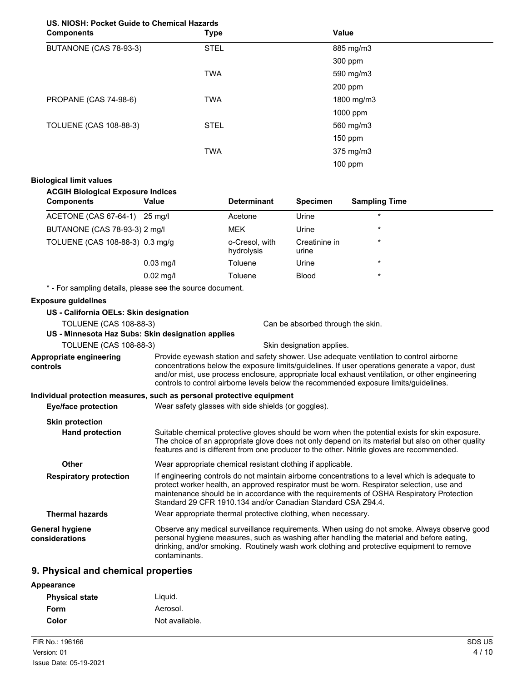# **US. NIOSH: Pocket Guide to Chemical Hazards**

| <b>Components</b>             | <b>Type</b> | <b>Value</b> |  |
|-------------------------------|-------------|--------------|--|
| BUTANONE (CAS 78-93-3)        | <b>STEL</b> | 885 mg/m3    |  |
|                               |             | 300 ppm      |  |
|                               | <b>TWA</b>  | 590 mg/m3    |  |
|                               |             | 200 ppm      |  |
| PROPANE (CAS 74-98-6)         | <b>TWA</b>  | 1800 mg/m3   |  |
|                               |             | 1000 ppm     |  |
| <b>TOLUENE (CAS 108-88-3)</b> | <b>STEL</b> | 560 mg/m3    |  |
|                               |             | 150 ppm      |  |
|                               | <b>TWA</b>  | 375 mg/m3    |  |
|                               |             | 100 ppm      |  |

#### **Biological limit values**

#### **ACGIH Biological Exposure Indices**

| <b>Components</b>                                         | Value       | <b>Determinant</b>           | <b>Specimen</b>        | <b>Sampling Time</b> |
|-----------------------------------------------------------|-------------|------------------------------|------------------------|----------------------|
| ACETONE (CAS 67-64-1)                                     | 25 ma/l     | Acetone                      | Urine                  | $\star$              |
| BUTANONE (CAS 78-93-3) 2 mg/l                             |             | <b>MEK</b>                   | Urine                  | $\star$              |
| TOLUENE (CAS 108-88-3) 0.3 mg/g                           |             | o-Cresol, with<br>hydrolysis | Creatinine in<br>urine | $\star$              |
|                                                           | $0.03$ mg/l | Toluene                      | Urine                  | $\star$              |
|                                                           | $0.02$ mg/l | Toluene                      | <b>Blood</b>           | $\star$              |
| * - For sampling details, please see the source document. |             |                              |                        |                      |

#### **Exposure guidelines**

**controls**

#### **US - California OELs: Skin designation**

TOLUENE (CAS 108-88-3) Can be absorbed through the skin.

#### **US - Minnesota Haz Subs: Skin designation applies**

TOLUENE (CAS 108-88-3) Skin designation applies.

Provide eyewash station and safety shower. Use adequate ventilation to control airborne concentrations below the exposure limits/guidelines. If user operations generate a vapor, dust and/or mist, use process enclosure, appropriate local exhaust ventilation, or other engineering controls to control airborne levels below the recommended exposure limits/guidelines. **Appropriate engineering**

## **Individual protection measures, such as personal protective equipment**

| Eye/face protection       | Wear safety glasses with side shields (or goggles). |
|---------------------------|-----------------------------------------------------|
| Object month of the state |                                                     |

| <b>Skin protection</b>            |                                                                                                                                                                                                                                                                                                                                                          |
|-----------------------------------|----------------------------------------------------------------------------------------------------------------------------------------------------------------------------------------------------------------------------------------------------------------------------------------------------------------------------------------------------------|
| <b>Hand protection</b>            | Suitable chemical protective gloves should be worn when the potential exists for skin exposure.<br>The choice of an appropriate glove does not only depend on its material but also on other quality<br>features and is different from one producer to the other. Nitrile gloves are recommended.                                                        |
| Other                             | Wear appropriate chemical resistant clothing if applicable.                                                                                                                                                                                                                                                                                              |
| <b>Respiratory protection</b>     | If engineering controls do not maintain airborne concentrations to a level which is adequate to<br>protect worker health, an approved respirator must be worn. Respirator selection, use and<br>maintenance should be in accordance with the requirements of OSHA Respiratory Protection<br>Standard 29 CFR 1910.134 and/or Canadian Standard CSA Z94.4. |
| <b>Thermal hazards</b>            | Wear appropriate thermal protective clothing, when necessary.                                                                                                                                                                                                                                                                                            |
| General hygiene<br>considerations | Observe any medical surveillance requirements. When using do not smoke. Always observe good<br>personal hygiene measures, such as washing after handling the material and before eating,<br>drinking, and/or smoking. Routinely wash work clothing and protective equipment to remove<br>contaminants.                                                   |

## **9. Physical and chemical properties**

| Appearance            |                |
|-----------------------|----------------|
| <b>Physical state</b> | Liguid.        |
| Form                  | Aerosol.       |
| Color                 | Not available. |
|                       |                |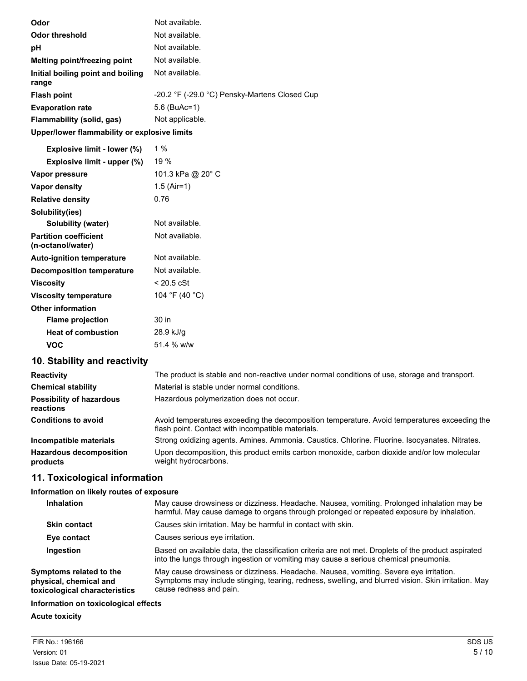| Odor                                         | Not available.                                |
|----------------------------------------------|-----------------------------------------------|
| Odor threshold                               | Not available.                                |
| рH                                           | Not available.                                |
| Melting point/freezing point                 | Not available.                                |
| Initial boiling point and boiling            | Not available.                                |
| range                                        |                                               |
| <b>Flash point</b>                           | -20.2 °F (-29.0 °C) Pensky-Martens Closed Cup |
| <b>Evaporation rate</b>                      | $5.6$ (BuAc=1)                                |
| Flammability (solid, gas)                    | Not applicable.                               |
| Upper/lower flammability or explosive limits |                                               |
|                                              |                                               |

| Explosive limit - lower (%)                       | $1\%$                |
|---------------------------------------------------|----------------------|
| Explosive limit - upper (%)                       | 19 %                 |
| Vapor pressure                                    | 101.3 kPa @ 20° C    |
| Vapor density                                     | 1.5 (Air=1)          |
| <b>Relative density</b>                           | 0.76                 |
| Solubility(ies)                                   |                      |
| Solubility (water)                                | Not available.       |
| <b>Partition coefficient</b><br>(n-octanol/water) | Not available.       |
| <b>Auto-ignition temperature</b>                  | Not available.       |
| <b>Decomposition temperature</b>                  | Not available.       |
| Viscosity                                         | $< 20.5 \text{ cSt}$ |
| <b>Viscosity temperature</b>                      | 104 °F (40 °C)       |
| <b>Other information</b>                          |                      |
| <b>Flame projection</b>                           | 30 in                |
| <b>Heat of combustion</b>                         | 28.9 kJ/g            |
| VOC                                               | 51.4 % w/w           |

# **10. Stability and reactivity**

| <b>Reactivity</b>                            | The product is stable and non-reactive under normal conditions of use, storage and transport.                                                     |
|----------------------------------------------|---------------------------------------------------------------------------------------------------------------------------------------------------|
| <b>Chemical stability</b>                    | Material is stable under normal conditions.                                                                                                       |
| <b>Possibility of hazardous</b><br>reactions | Hazardous polymerization does not occur.                                                                                                          |
| <b>Conditions to avoid</b>                   | Avoid temperatures exceeding the decomposition temperature. Avoid temperatures exceeding the<br>flash point. Contact with incompatible materials. |
| Incompatible materials                       | Strong oxidizing agents. Amines. Ammonia. Caustics. Chlorine. Fluorine. Isocyanates. Nitrates.                                                    |
| <b>Hazardous decomposition</b><br>products   | Upon decomposition, this product emits carbon monoxide, carbon dioxide and/or low molecular<br>weight hydrocarbons.                               |

# **11. Toxicological information**

### **Information on likely routes of exposure**

| <b>Inhalation</b>                                                                  | May cause drowsiness or dizziness. Headache. Nausea, vomiting. Prolonged inhalation may be<br>harmful. May cause damage to organs through prolonged or repeated exposure by inhalation.                                 |
|------------------------------------------------------------------------------------|-------------------------------------------------------------------------------------------------------------------------------------------------------------------------------------------------------------------------|
| <b>Skin contact</b>                                                                | Causes skin irritation. May be harmful in contact with skin.                                                                                                                                                            |
| Eye contact                                                                        | Causes serious eve irritation.                                                                                                                                                                                          |
| Ingestion                                                                          | Based on available data, the classification criteria are not met. Droplets of the product aspirated<br>into the lungs through ingestion or vomiting may cause a serious chemical pneumonia.                             |
| Symptoms related to the<br>physical, chemical and<br>toxicological characteristics | May cause drowsiness or dizziness. Headache. Nausea, vomiting. Severe eye irritation.<br>Symptoms may include stinging, tearing, redness, swelling, and blurred vision. Skin irritation. May<br>cause redness and pain. |
| Information on toxicological effects                                               |                                                                                                                                                                                                                         |

## **Acute toxicity**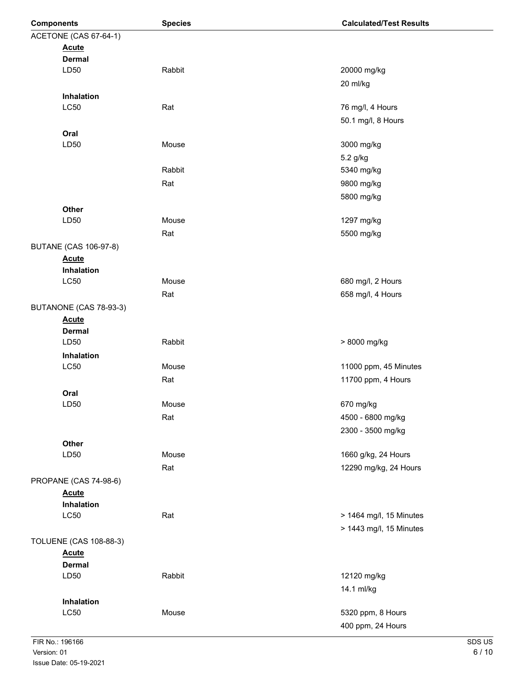| <b>Components</b>             | <b>Species</b> | <b>Calculated/Test Results</b> |
|-------------------------------|----------------|--------------------------------|
| ACETONE (CAS 67-64-1)         |                |                                |
| <b>Acute</b>                  |                |                                |
| <b>Dermal</b>                 |                |                                |
| LD50                          | Rabbit         | 20000 mg/kg                    |
|                               |                | 20 ml/kg                       |
| Inhalation                    |                |                                |
| LC50                          | Rat            | 76 mg/l, 4 Hours               |
|                               |                | 50.1 mg/l, 8 Hours             |
| Oral                          |                |                                |
| LD50                          | Mouse          | 3000 mg/kg                     |
|                               |                | 5.2 g/kg                       |
|                               | Rabbit         | 5340 mg/kg                     |
|                               | Rat            | 9800 mg/kg                     |
|                               |                | 5800 mg/kg                     |
| Other                         |                |                                |
| LD50                          | Mouse          | 1297 mg/kg                     |
|                               | Rat            | 5500 mg/kg                     |
| <b>BUTANE (CAS 106-97-8)</b>  |                |                                |
| <b>Acute</b>                  |                |                                |
| Inhalation                    |                |                                |
| LC50                          | Mouse          | 680 mg/l, 2 Hours              |
|                               | Rat            | 658 mg/l, 4 Hours              |
| BUTANONE (CAS 78-93-3)        |                |                                |
| <b>Acute</b>                  |                |                                |
| <b>Dermal</b>                 |                |                                |
| LD50                          | Rabbit         | > 8000 mg/kg                   |
| Inhalation                    |                |                                |
| LC50                          | Mouse          | 11000 ppm, 45 Minutes          |
|                               | Rat            | 11700 ppm, 4 Hours             |
| Oral                          |                |                                |
| LD50                          | Mouse          | 670 mg/kg                      |
|                               | Rat            | 4500 - 6800 mg/kg              |
|                               |                | 2300 - 3500 mg/kg              |
| Other                         |                |                                |
| LD50                          | Mouse          | 1660 g/kg, 24 Hours            |
|                               | Rat            | 12290 mg/kg, 24 Hours          |
| PROPANE (CAS 74-98-6)         |                |                                |
| <b>Acute</b>                  |                |                                |
| Inhalation                    |                |                                |
| LC50                          | Rat            | > 1464 mg/l, 15 Minutes        |
|                               |                | > 1443 mg/l, 15 Minutes        |
| <b>TOLUENE (CAS 108-88-3)</b> |                |                                |
| <b>Acute</b>                  |                |                                |
| <b>Dermal</b>                 |                |                                |
| LD50                          | Rabbit         | 12120 mg/kg                    |
|                               |                | 14.1 ml/kg                     |
| Inhalation                    |                |                                |
| LC50                          | Mouse          | 5320 ppm, 8 Hours              |
|                               |                | 400 ppm, 24 Hours              |
|                               |                |                                |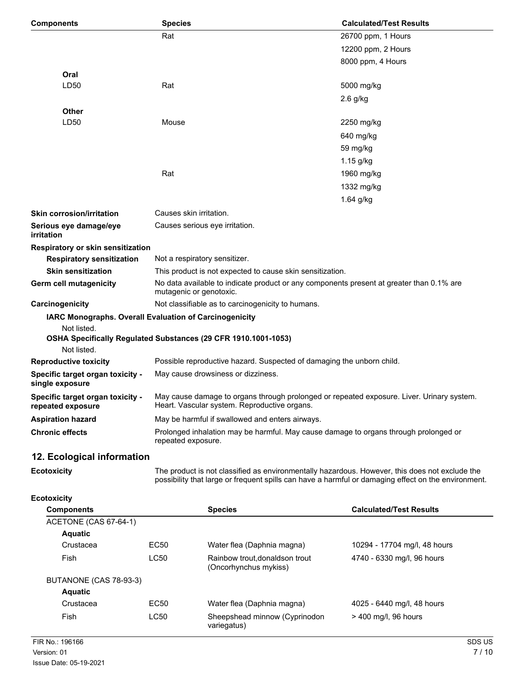| <b>Components</b>                                     | <b>Species</b>                                                        | <b>Calculated/Test Results</b>                                                                 |
|-------------------------------------------------------|-----------------------------------------------------------------------|------------------------------------------------------------------------------------------------|
|                                                       | Rat                                                                   | 26700 ppm, 1 Hours                                                                             |
|                                                       |                                                                       | 12200 ppm, 2 Hours                                                                             |
|                                                       |                                                                       | 8000 ppm, 4 Hours                                                                              |
| Oral                                                  |                                                                       |                                                                                                |
| LD50                                                  | Rat                                                                   | 5000 mg/kg                                                                                     |
|                                                       |                                                                       | 2.6 g/kg                                                                                       |
| <b>Other</b>                                          |                                                                       |                                                                                                |
| LD50                                                  | Mouse                                                                 | 2250 mg/kg                                                                                     |
|                                                       |                                                                       | 640 mg/kg                                                                                      |
|                                                       |                                                                       | 59 mg/kg                                                                                       |
|                                                       |                                                                       | 1.15 g/kg                                                                                      |
|                                                       | Rat                                                                   | 1960 mg/kg                                                                                     |
|                                                       |                                                                       | 1332 mg/kg                                                                                     |
|                                                       |                                                                       | 1.64 g/kg                                                                                      |
| <b>Skin corrosion/irritation</b>                      | Causes skin irritation.                                               |                                                                                                |
| Serious eye damage/eye<br>irritation                  | Causes serious eye irritation.                                        |                                                                                                |
| Respiratory or skin sensitization                     |                                                                       |                                                                                                |
| <b>Respiratory sensitization</b>                      | Not a respiratory sensitizer.                                         |                                                                                                |
| <b>Skin sensitization</b>                             | This product is not expected to cause skin sensitization.             |                                                                                                |
| Germ cell mutagenicity                                | mutagenic or genotoxic.                                               | No data available to indicate product or any components present at greater than 0.1% are       |
| Carcinogenicity                                       | Not classifiable as to carcinogenicity to humans.                     |                                                                                                |
| Not listed.                                           | IARC Monographs. Overall Evaluation of Carcinogenicity                |                                                                                                |
| Not listed.                                           | OSHA Specifically Regulated Substances (29 CFR 1910.1001-1053)        |                                                                                                |
| <b>Reproductive toxicity</b>                          | Possible reproductive hazard. Suspected of damaging the unborn child. |                                                                                                |
| Specific target organ toxicity -<br>single exposure   | May cause drowsiness or dizziness.                                    |                                                                                                |
| Specific target organ toxicity -<br>repeated exposure | Heart. Vascular system. Reproductive organs.                          | May cause damage to organs through prolonged or repeated exposure. Liver. Urinary system.      |
| <b>Aspiration hazard</b>                              | May be harmful if swallowed and enters airways.                       |                                                                                                |
| <b>Chronic effects</b>                                | repeated exposure.                                                    | Prolonged inhalation may be harmful. May cause damage to organs through prolonged or           |
| 12. Ecological information                            |                                                                       |                                                                                                |
| <b>Ecotoxicity</b>                                    |                                                                       | The product is not classified as environmentally hazardous. However, this does not exclude the |

**Ecotoxicity**

The product is not classified as environmentally hazardous. However, this does not exclude the possibility that large or frequent spills can have a harmful or damaging effect on the environment.

#### **Ecotoxicity**

| <b>Components</b>      |                  | <b>Species</b>                                          | <b>Calculated/Test Results</b> |
|------------------------|------------------|---------------------------------------------------------|--------------------------------|
| ACETONE (CAS 67-64-1)  |                  |                                                         |                                |
| <b>Aquatic</b>         |                  |                                                         |                                |
| Crustacea              | EC <sub>50</sub> | Water flea (Daphnia magna)                              | 10294 - 17704 mg/l, 48 hours   |
| Fish                   | LC50             | Rainbow trout, donaldson trout<br>(Oncorhynchus mykiss) | 4740 - 6330 mg/l, 96 hours     |
| BUTANONE (CAS 78-93-3) |                  |                                                         |                                |
| <b>Aquatic</b>         |                  |                                                         |                                |
| Crustacea              | EC <sub>50</sub> | Water flea (Daphnia magna)                              | 4025 - 6440 mg/l, 48 hours     |
| Fish                   | LC50             | Sheepshead minnow (Cyprinodon<br>variegatus)            | $>$ 400 mg/l, 96 hours         |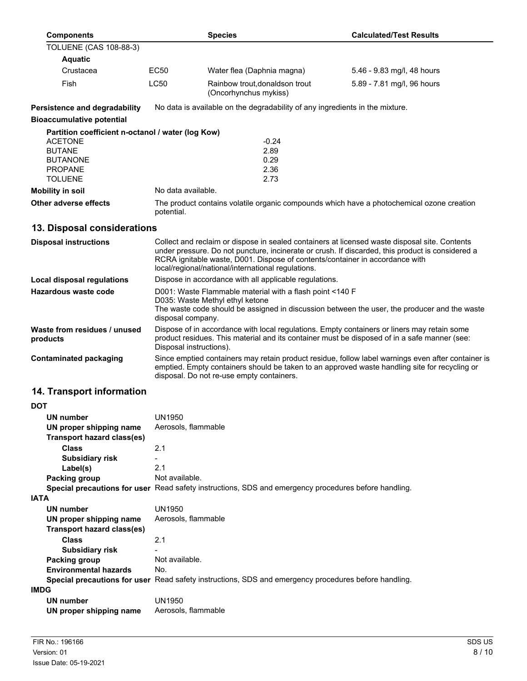| <b>Components</b>                                            | <b>Species</b>                                                                                                                                                                                                                                                                                                                          |                                                                                                      | <b>Calculated/Test Results</b>                                                            |
|--------------------------------------------------------------|-----------------------------------------------------------------------------------------------------------------------------------------------------------------------------------------------------------------------------------------------------------------------------------------------------------------------------------------|------------------------------------------------------------------------------------------------------|-------------------------------------------------------------------------------------------|
| <b>TOLUENE (CAS 108-88-3)</b>                                |                                                                                                                                                                                                                                                                                                                                         |                                                                                                      |                                                                                           |
| <b>Aquatic</b>                                               |                                                                                                                                                                                                                                                                                                                                         |                                                                                                      |                                                                                           |
| Crustacea                                                    | EC50                                                                                                                                                                                                                                                                                                                                    | Water flea (Daphnia magna)                                                                           | 5.46 - 9.83 mg/l, 48 hours                                                                |
| Fish                                                         | LC50                                                                                                                                                                                                                                                                                                                                    | Rainbow trout, donaldson trout<br>(Oncorhynchus mykiss)                                              | 5.89 - 7.81 mg/l, 96 hours                                                                |
| Persistence and degradability                                |                                                                                                                                                                                                                                                                                                                                         | No data is available on the degradability of any ingredients in the mixture.                         |                                                                                           |
| <b>Bioaccumulative potential</b>                             |                                                                                                                                                                                                                                                                                                                                         |                                                                                                      |                                                                                           |
| Partition coefficient n-octanol / water (log Kow)            |                                                                                                                                                                                                                                                                                                                                         |                                                                                                      |                                                                                           |
| <b>ACETONE</b>                                               |                                                                                                                                                                                                                                                                                                                                         | $-0.24$                                                                                              |                                                                                           |
| <b>BUTANE</b>                                                |                                                                                                                                                                                                                                                                                                                                         | 2.89                                                                                                 |                                                                                           |
| <b>BUTANONE</b>                                              |                                                                                                                                                                                                                                                                                                                                         | 0.29                                                                                                 |                                                                                           |
| <b>PROPANE</b>                                               |                                                                                                                                                                                                                                                                                                                                         | 2.36                                                                                                 |                                                                                           |
| <b>TOLUENE</b>                                               |                                                                                                                                                                                                                                                                                                                                         | 2.73                                                                                                 |                                                                                           |
| <b>Mobility in soil</b>                                      | No data available.                                                                                                                                                                                                                                                                                                                      |                                                                                                      |                                                                                           |
| Other adverse effects                                        | potential.                                                                                                                                                                                                                                                                                                                              |                                                                                                      | The product contains volatile organic compounds which have a photochemical ozone creation |
| 13. Disposal considerations                                  |                                                                                                                                                                                                                                                                                                                                         |                                                                                                      |                                                                                           |
| <b>Disposal instructions</b>                                 | Collect and reclaim or dispose in sealed containers at licensed waste disposal site. Contents<br>under pressure. Do not puncture, incinerate or crush. If discarded, this product is considered a<br>RCRA ignitable waste, D001. Dispose of contents/container in accordance with<br>local/regional/national/international regulations. |                                                                                                      |                                                                                           |
| <b>Local disposal regulations</b>                            |                                                                                                                                                                                                                                                                                                                                         | Dispose in accordance with all applicable regulations.                                               |                                                                                           |
| <b>Hazardous waste code</b>                                  | D001: Waste Flammable material with a flash point <140 F<br>D035: Waste Methyl ethyl ketone<br>The waste code should be assigned in discussion between the user, the producer and the waste<br>disposal company.                                                                                                                        |                                                                                                      |                                                                                           |
| Waste from residues / unused<br>products                     | Dispose of in accordance with local regulations. Empty containers or liners may retain some<br>product residues. This material and its container must be disposed of in a safe manner (see:<br>Disposal instructions).                                                                                                                  |                                                                                                      |                                                                                           |
| <b>Contaminated packaging</b>                                | Since emptied containers may retain product residue, follow label warnings even after container is<br>emptied. Empty containers should be taken to an approved waste handling site for recycling or<br>disposal. Do not re-use empty containers.                                                                                        |                                                                                                      |                                                                                           |
| 14. Transport information                                    |                                                                                                                                                                                                                                                                                                                                         |                                                                                                      |                                                                                           |
| <b>DOT</b>                                                   |                                                                                                                                                                                                                                                                                                                                         |                                                                                                      |                                                                                           |
| <b>UN number</b>                                             | <b>UN1950</b>                                                                                                                                                                                                                                                                                                                           |                                                                                                      |                                                                                           |
| UN proper shipping name                                      | Aerosols, flammable                                                                                                                                                                                                                                                                                                                     |                                                                                                      |                                                                                           |
| <b>Transport hazard class(es)</b>                            |                                                                                                                                                                                                                                                                                                                                         |                                                                                                      |                                                                                           |
| <b>Class</b>                                                 | 2.1                                                                                                                                                                                                                                                                                                                                     |                                                                                                      |                                                                                           |
| <b>Subsidiary risk</b>                                       |                                                                                                                                                                                                                                                                                                                                         |                                                                                                      |                                                                                           |
| Label(s)                                                     | 2.1                                                                                                                                                                                                                                                                                                                                     |                                                                                                      |                                                                                           |
| Packing group                                                | Not available.                                                                                                                                                                                                                                                                                                                          |                                                                                                      |                                                                                           |
|                                                              |                                                                                                                                                                                                                                                                                                                                         | Special precautions for user Read safety instructions, SDS and emergency procedures before handling. |                                                                                           |
| <b>IATA</b>                                                  |                                                                                                                                                                                                                                                                                                                                         |                                                                                                      |                                                                                           |
| UN number                                                    | <b>UN1950</b>                                                                                                                                                                                                                                                                                                                           |                                                                                                      |                                                                                           |
| UN proper shipping name<br><b>Transport hazard class(es)</b> | Aerosols, flammable                                                                                                                                                                                                                                                                                                                     |                                                                                                      |                                                                                           |
| <b>Class</b>                                                 | 2.1                                                                                                                                                                                                                                                                                                                                     |                                                                                                      |                                                                                           |
| <b>Subsidiary risk</b>                                       |                                                                                                                                                                                                                                                                                                                                         |                                                                                                      |                                                                                           |
| Packing group                                                | Not available.                                                                                                                                                                                                                                                                                                                          |                                                                                                      |                                                                                           |
| <b>Environmental hazards</b>                                 | No.                                                                                                                                                                                                                                                                                                                                     |                                                                                                      |                                                                                           |
|                                                              |                                                                                                                                                                                                                                                                                                                                         | Special precautions for user Read safety instructions, SDS and emergency procedures before handling. |                                                                                           |
| <b>IMDG</b>                                                  |                                                                                                                                                                                                                                                                                                                                         |                                                                                                      |                                                                                           |
| <b>UN number</b>                                             | <b>UN1950</b>                                                                                                                                                                                                                                                                                                                           |                                                                                                      |                                                                                           |

| UIT HUIHDUI             | -----               |
|-------------------------|---------------------|
| UN proper shipping name | Aerosols, flammable |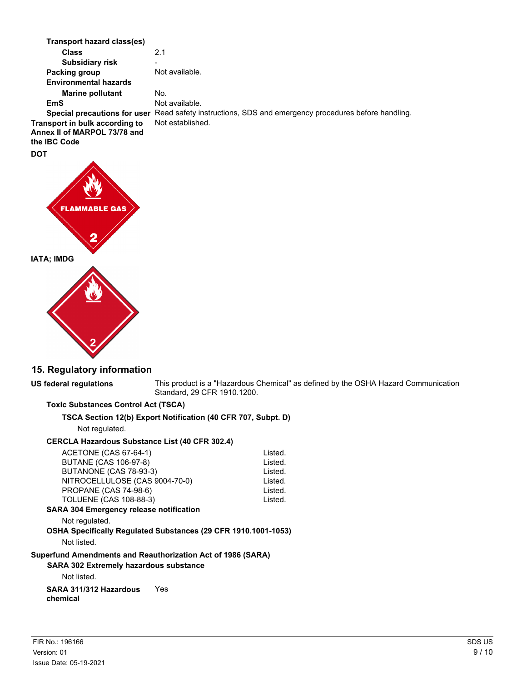**Class** 2.1 **Transport hazard class(es) Subsidiary risk Packing group** Not available. **Marine pollutant** No. **Environmental hazards EmS** Not available. **Special precautions for user** Read safety instructions, SDS and emergency procedures before handling. **Transport in bulk according to** Not established. **Annex II of MARPOL 73/78 and the IBC Code DOT**



## **15. Regulatory information**

#### **US federal regulations**

This product is a "Hazardous Chemical" as defined by the OSHA Hazard Communication Standard, 29 CFR 1910.1200.

#### **Toxic Substances Control Act (TSCA)**

**TSCA Section 12(b) Export Notification (40 CFR 707, Subpt. D)**

Not regulated.

#### **CERCLA Hazardous Substance List (40 CFR 302.4)**

| ACETONE (CAS 67-64-1)                                       |                                                                | Listed. |
|-------------------------------------------------------------|----------------------------------------------------------------|---------|
| <b>BUTANE (CAS 106-97-8)</b>                                |                                                                | Listed. |
| BUTANONE (CAS 78-93-3)                                      |                                                                | Listed. |
| NITROCELLULOSE (CAS 9004-70-0)                              |                                                                | Listed. |
| <b>PROPANE (CAS 74-98-6)</b>                                |                                                                | Listed. |
| TOLUENE (CAS 108-88-3)                                      |                                                                | Listed. |
| <b>SARA 304 Emergency release notification</b>              |                                                                |         |
| Not regulated.                                              |                                                                |         |
|                                                             | OSHA Specifically Regulated Substances (29 CFR 1910.1001-1053) |         |
| Not listed.                                                 |                                                                |         |
| Superfund Amendments and Reauthorization Act of 1986 (SARA) |                                                                |         |
| <b>SARA 302 Extremely hazardous substance</b>               |                                                                |         |
| Not listed.                                                 |                                                                |         |
| SARA 311/312 Hazardous<br>chemical                          | Yes                                                            |         |